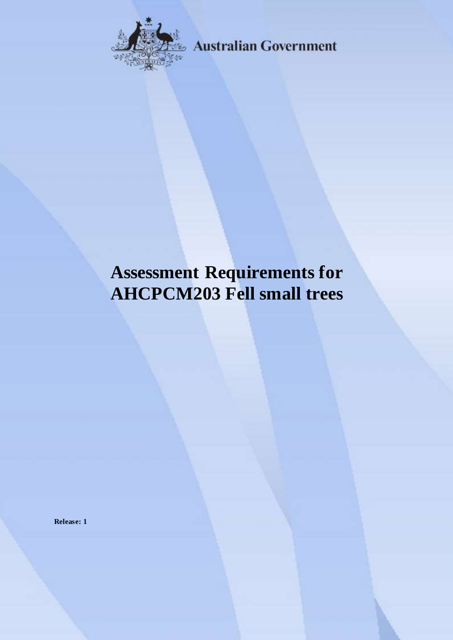

**Australian Government** 

# **Assessment Requirements for AHCPCM203 Fell small trees**

**Release: 1**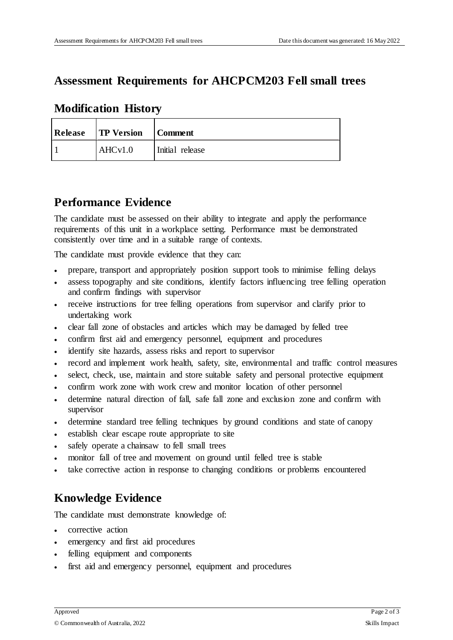## **Assessment Requirements for AHCPCM203 Fell small trees**

|     | <b>Release TP Version</b> | Comment         |
|-----|---------------------------|-----------------|
| l 1 | AHCv1.0                   | Initial release |

### **Modification History**

## **Performance Evidence**

The candidate must be assessed on their ability to integrate and apply the performance requirements of this unit in a workplace setting. Performance must be demonstrated consistently over time and in a suitable range of contexts.

The candidate must provide evidence that they can:

- prepare, transport and appropriately position support tools to minimise felling delays
- assess topography and site conditions, identify factors influencing tree felling operation and confirm findings with supervisor
- receive instructions for tree felling operations from supervisor and clarify prior to undertaking work
- clear fall zone of obstacles and articles which may be damaged by felled tree
- confirm first aid and emergency personnel, equipment and procedures
- identify site hazards, assess risks and report to supervisor
- record and implement work health, safety, site, environmental and traffic control measures
- select, check, use, maintain and store suitable safety and personal protective equipment
- confirm work zone with work crew and monitor location of other personnel
- determine natural direction of fall, safe fall zone and exclusion zone and confirm with supervisor
- determine standard tree felling techniques by ground conditions and state of canopy
- establish clear escape route appropriate to site
- safely operate a chainsaw to fell small trees
- monitor fall of tree and movement on ground until felled tree is stable
- take corrective action in response to changing conditions or problems encountered

## **Knowledge Evidence**

The candidate must demonstrate knowledge of:

- corrective action
- emergency and first aid procedures
- felling equipment and components
- first aid and emergency personnel, equipment and procedures